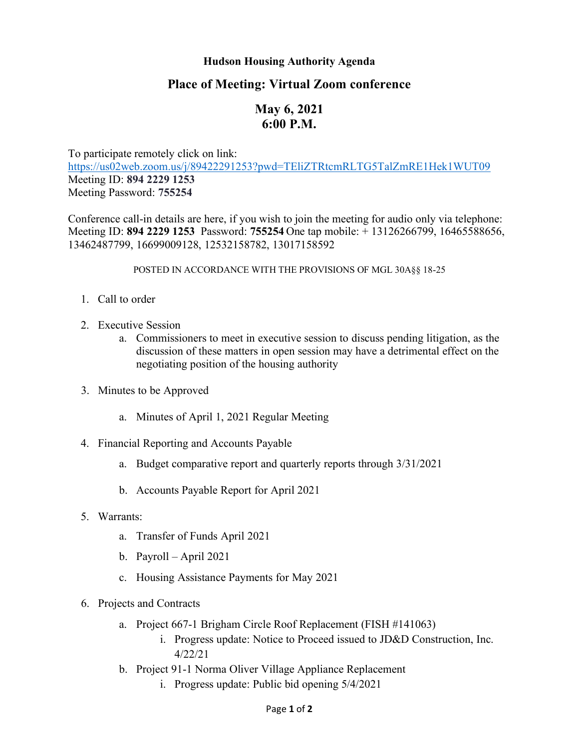## **Hudson Housing Authority Agenda**

## **Place of Meeting: Virtual Zoom conference**

## **May 6, 2021 6:00 P.M.**

To participate remotely click on link: <https://us02web.zoom.us/j/89422291253?pwd=TEliZTRtcmRLTG5TalZmRE1Hek1WUT09> Meeting ID: **894 2229 1253** Meeting Password: **755254**

Conference call-in details are here, if you wish to join the meeting for audio only via telephone: Meeting ID: **894 2229 1253** Password: **755254** One tap mobile: + 13126266799, 16465588656, 13462487799, 16699009128, 12532158782, 13017158592

POSTED IN ACCORDANCE WITH THE PROVISIONS OF MGL 30A§§ 18-25

- 1. Call to order
- 2. Executive Session
	- a. Commissioners to meet in executive session to discuss pending litigation, as the discussion of these matters in open session may have a detrimental effect on the negotiating position of the housing authority
- 3. Minutes to be Approved
	- a. Minutes of April 1, 2021 Regular Meeting
- 4. Financial Reporting and Accounts Payable
	- a. Budget comparative report and quarterly reports through 3/31/2021
	- b. Accounts Payable Report for April 2021
- 5. Warrants:
	- a. Transfer of Funds April 2021
	- b. Payroll April 2021
	- c. Housing Assistance Payments for May 2021
- 6. Projects and Contracts
	- a. Project 667-1 Brigham Circle Roof Replacement (FISH #141063)
		- i. Progress update: Notice to Proceed issued to JD&D Construction, Inc. 4/22/21
	- b. Project 91-1 Norma Oliver Village Appliance Replacement
		- i. Progress update: Public bid opening 5/4/2021